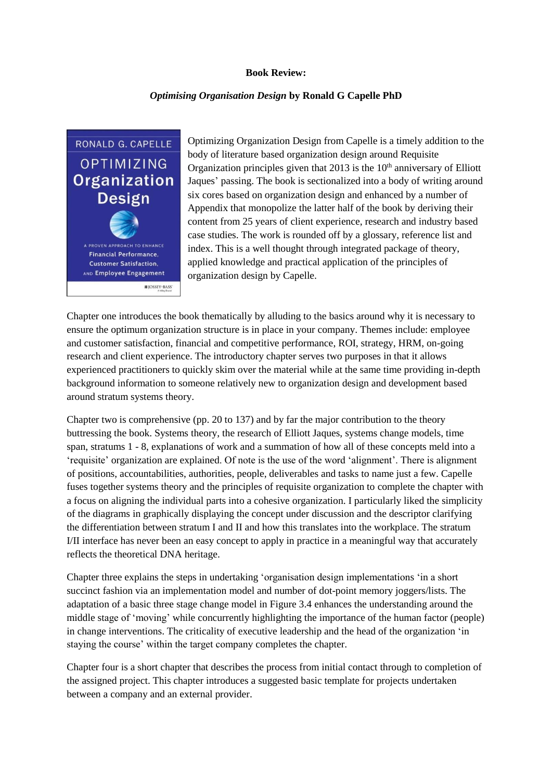## **Book Review:**

## *Optimising Organisation Design* **by Ronald G Capelle PhD**

RONALD G. CAPELLE **OPTIMIZING** Organization **Design** A PROVEN APPROACH TO ENHANCE Financial Performance, **Customer Satisfaction.** AND Employee Engagement **IE JOSSEY-BASS** 

Optimizing Organization Design from Capelle is a timely addition to the body of literature based organization design around Requisite Organization principles given that  $2013$  is the  $10<sup>th</sup>$  anniversary of Elliott Jaques' passing. The book is sectionalized into a body of writing around six cores based on organization design and enhanced by a number of Appendix that monopolize the latter half of the book by deriving their content from 25 years of client experience, research and industry based case studies. The work is rounded off by a glossary, reference list and index. This is a well thought through integrated package of theory, applied knowledge and practical application of the principles of organization design by Capelle.

Chapter one introduces the book thematically by alluding to the basics around why it is necessary to ensure the optimum organization structure is in place in your company. Themes include: employee and customer satisfaction, financial and competitive performance, ROI, strategy, HRM, on-going research and client experience. The introductory chapter serves two purposes in that it allows experienced practitioners to quickly skim over the material while at the same time providing in-depth background information to someone relatively new to organization design and development based around stratum systems theory.

Chapter two is comprehensive (pp. 20 to 137) and by far the major contribution to the theory buttressing the book. Systems theory, the research of Elliott Jaques, systems change models, time span, stratums 1 - 8, explanations of work and a summation of how all of these concepts meld into a 'requisite' organization are explained. Of note is the use of the word 'alignment'. There is alignment of positions, accountabilities, authorities, people, deliverables and tasks to name just a few. Capelle fuses together systems theory and the principles of requisite organization to complete the chapter with a focus on aligning the individual parts into a cohesive organization. I particularly liked the simplicity of the diagrams in graphically displaying the concept under discussion and the descriptor clarifying the differentiation between stratum I and II and how this translates into the workplace. The stratum I/II interface has never been an easy concept to apply in practice in a meaningful way that accurately reflects the theoretical DNA heritage.

Chapter three explains the steps in undertaking 'organisation design implementations 'in a short succinct fashion via an implementation model and number of dot-point memory joggers/lists. The adaptation of a basic three stage change model in Figure 3.4 enhances the understanding around the middle stage of 'moving' while concurrently highlighting the importance of the human factor (people) in change interventions. The criticality of executive leadership and the head of the organization 'in staying the course' within the target company completes the chapter.

Chapter four is a short chapter that describes the process from initial contact through to completion of the assigned project. This chapter introduces a suggested basic template for projects undertaken between a company and an external provider.